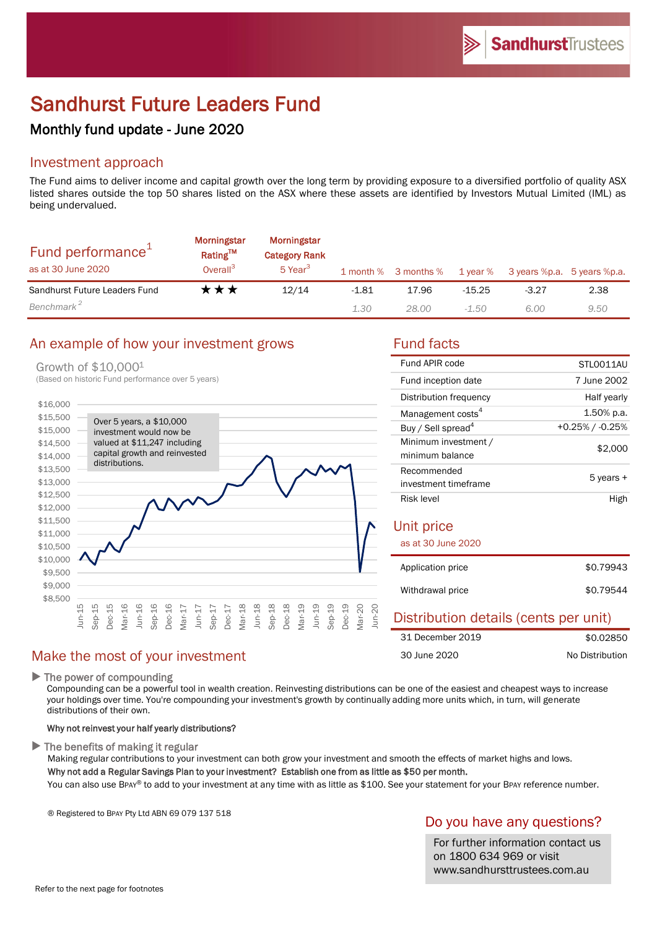# Sandhurst Future Leaders Fund

# Monthly fund update - June 2020

# Investment approach

The Fund aims to deliver income and capital growth over the long term by providing exposure to a diversified portfolio of quality ASX listed shares outside the top 50 shares listed on the ASX where these assets are identified by Investors Mutual Limited (IML) as being undervalued.

| Fund performance <sup>1</sup><br>as at 30 June 2020 | <b>Morningstar</b><br>Rating™<br>Overall <sup>3</sup> | <b>Morningstar</b><br><b>Category Rank</b><br>5 Year <sup>3</sup> |         | 1 month % 3 months % | 1 year % |         | 3 years %p.a. 5 years %p.a. |
|-----------------------------------------------------|-------------------------------------------------------|-------------------------------------------------------------------|---------|----------------------|----------|---------|-----------------------------|
| Sandhurst Future Leaders Fund                       | ★★★                                                   | 12/14                                                             | $-1.81$ | 17.96                | $-15.25$ | $-3.27$ | 2.38                        |
| Benchmark <sup>2</sup>                              |                                                       |                                                                   | 1.30    | 28.00                | -1.50    | 6.00    | 9.50                        |

# An example of how your investment grows Fund facts

#### Growth of \$10,000<sup>1</sup>

(Based on historic Fund performance over 5 years)



| Fund APIR code                          | STLO011AU       |  |  |  |
|-----------------------------------------|-----------------|--|--|--|
| Fund inception date                     | 7 June 2002     |  |  |  |
| Distribution frequency                  | Half yearly     |  |  |  |
| Management costs <sup>4</sup>           | 1.50% p.a.      |  |  |  |
| Buy / Sell spread <sup>4</sup>          | +0.25% / -0.25% |  |  |  |
| Minimum investment /<br>minimum balance | \$2,000         |  |  |  |
| Recommended                             | 5 years +       |  |  |  |
| investment timeframe                    |                 |  |  |  |
| Risk level                              | High            |  |  |  |
| Unit price                              |                 |  |  |  |
| as at 30 June 2020                      |                 |  |  |  |
| Application price                       | \$0.79943       |  |  |  |
| Withdrawal price                        | \$0.79544       |  |  |  |

#### Distribution details (cents per unit) \$0.02850 No Distribution 31 December 2019 30 June 2020

### $\blacktriangleright$  The power of compounding

Compounding can be a powerful tool in wealth creation. Reinvesting distributions can be one of the easiest and cheapest ways to increase your holdings over time. You're compounding your investment's growth by continually adding more units which, in turn, will generate distributions of their own.

#### Why not reinvest your half yearly distributions?

Make the most of your investment

 $\blacktriangleright$  The benefits of making it regular

Making regular contributions to your investment can both grow your investment and smooth the effects of market highs and lows. Why not add a Regular Savings Plan to your investment? Establish one from as little as \$50 per month.

You can also use BPAY® to add to your investment at any time with as little as \$100. See your statement for your BPAY reference number.

® Registered to BPAY Pty Ltd ABN 69 079 137 518

# Do you have any questions?

For further information contact us on 1800 634 969 or visit www.sandhursttrustees.com.au